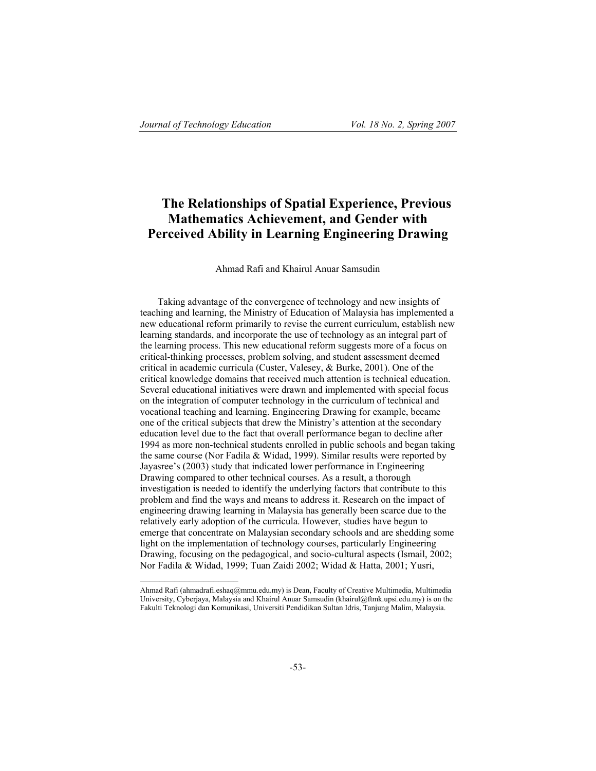# **The Relationships of Spatial Experience, Previous Mathematics Achievement, and Gender with Perceived Ability in Learning Engineering Drawing**

#### Ahmad Rafi and Khairul Anuar Samsudin

Taking advantage of the convergence of technology and new insights of teaching and learning, the Ministry of Education of Malaysia has implemented a new educational reform primarily to revise the current curriculum, establish new learning standards, and incorporate the use of technology as an integral part of the learning process. This new educational reform suggests more of a focus on critical-thinking processes, problem solving, and student assessment deemed critical in academic curricula (Custer, Valesey, & Burke, 2001). One of the critical knowledge domains that received much attention is technical education. Several educational initiatives were drawn and implemented with special focus on the integration of computer technology in the curriculum of technical and vocational teaching and learning. Engineering Drawing for example, became one of the critical subjects that drew the Ministry's attention at the secondary education level due to the fact that overall performance began to decline after 1994 as more non-technical students enrolled in public schools and began taking the same course (Nor Fadila & Widad, 1999). Similar results were reported by Jayasree's (2003) study that indicated lower performance in Engineering Drawing compared to other technical courses. As a result, a thorough investigation is needed to identify the underlying factors that contribute to this problem and find the ways and means to address it. Research on the impact of engineering drawing learning in Malaysia has generally been scarce due to the relatively early adoption of the curricula. However, studies have begun to emerge that concentrate on Malaysian secondary schools and are shedding some light on the implementation of technology courses, particularly Engineering Drawing, focusing on the pedagogical, and socio-cultural aspects (Ismail, 2002; Nor Fadila & Widad, 1999; Tuan Zaidi 2002; Widad & Hatta, 2001; Yusri,

Ahmad Rafi (ahmadrafi.eshaq@mmu.edu.my) is Dean, Faculty of Creative Multimedia, Multimedia University, Cyberjaya, Malaysia and Khairul Anuar Samsudin (khairul@ftmk.upsi.edu.my) is on the Fakulti Teknologi dan Komunikasi, Universiti Pendidikan Sultan Idris, Tanjung Malim, Malaysia.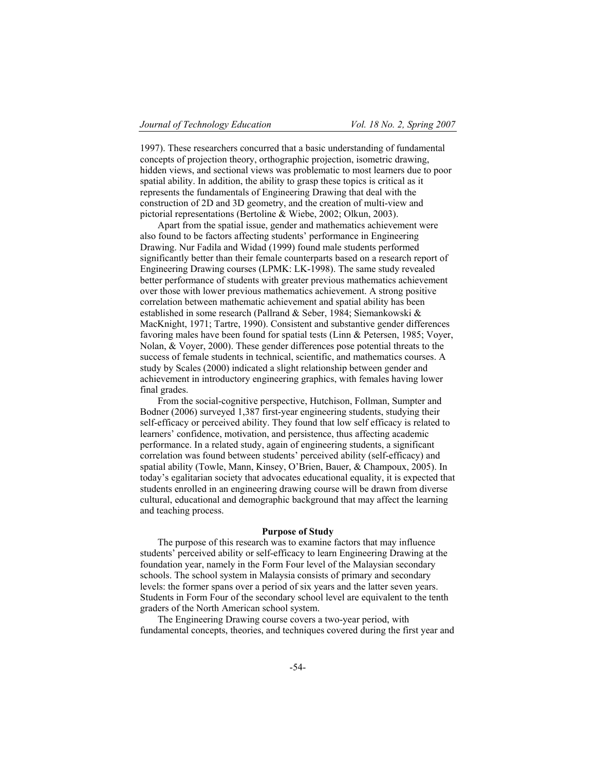1997). These researchers concurred that a basic understanding of fundamental concepts of projection theory, orthographic projection, isometric drawing, hidden views, and sectional views was problematic to most learners due to poor spatial ability. In addition, the ability to grasp these topics is critical as it represents the fundamentals of Engineering Drawing that deal with the construction of 2D and 3D geometry, and the creation of multi-view and pictorial representations (Bertoline & Wiebe, 2002; Olkun, 2003).

Apart from the spatial issue, gender and mathematics achievement were also found to be factors affecting students' performance in Engineering Drawing. Nur Fadila and Widad (1999) found male students performed significantly better than their female counterparts based on a research report of Engineering Drawing courses (LPMK: LK-1998). The same study revealed better performance of students with greater previous mathematics achievement over those with lower previous mathematics achievement. A strong positive correlation between mathematic achievement and spatial ability has been established in some research (Pallrand & Seber, 1984; Siemankowski & MacKnight, 1971; Tartre, 1990). Consistent and substantive gender differences favoring males have been found for spatial tests (Linn & Petersen, 1985; Voyer, Nolan, & Voyer, 2000). These gender differences pose potential threats to the success of female students in technical, scientific, and mathematics courses. A study by Scales (2000) indicated a slight relationship between gender and achievement in introductory engineering graphics, with females having lower final grades.

From the social-cognitive perspective, Hutchison, Follman, Sumpter and Bodner (2006) surveyed 1,387 first-year engineering students, studying their self-efficacy or perceived ability. They found that low self efficacy is related to learners' confidence, motivation, and persistence, thus affecting academic performance. In a related study, again of engineering students, a significant correlation was found between students' perceived ability (self-efficacy) and spatial ability (Towle, Mann, Kinsey, O'Brien, Bauer, & Champoux, 2005). In today's egalitarian society that advocates educational equality, it is expected that students enrolled in an engineering drawing course will be drawn from diverse cultural, educational and demographic background that may affect the learning and teaching process.

#### **Purpose of Study**

The purpose of this research was to examine factors that may influence students' perceived ability or self-efficacy to learn Engineering Drawing at the foundation year, namely in the Form Four level of the Malaysian secondary schools. The school system in Malaysia consists of primary and secondary levels: the former spans over a period of six years and the latter seven years. Students in Form Four of the secondary school level are equivalent to the tenth graders of the North American school system.

The Engineering Drawing course covers a two-year period, with fundamental concepts, theories, and techniques covered during the first year and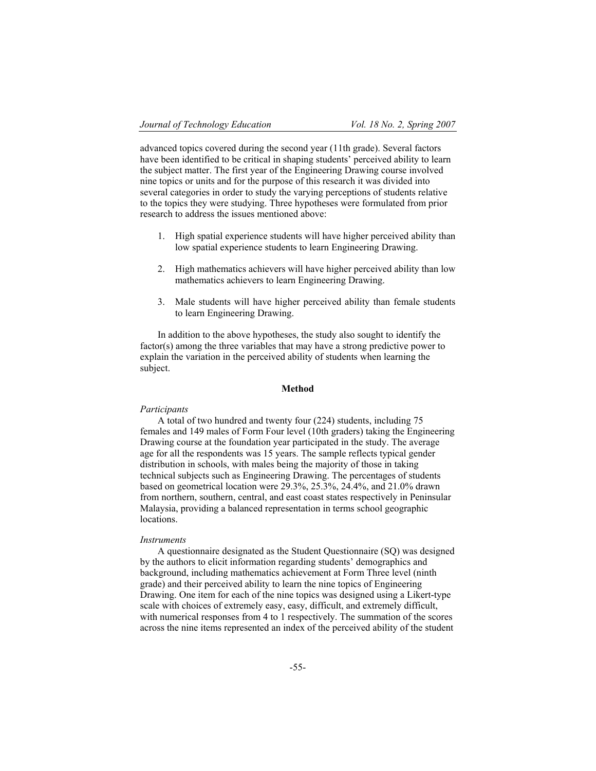advanced topics covered during the second year (11th grade). Several factors have been identified to be critical in shaping students' perceived ability to learn the subject matter. The first year of the Engineering Drawing course involved nine topics or units and for the purpose of this research it was divided into several categories in order to study the varying perceptions of students relative to the topics they were studying. Three hypotheses were formulated from prior research to address the issues mentioned above:

- 1. High spatial experience students will have higher perceived ability than low spatial experience students to learn Engineering Drawing.
- 2. High mathematics achievers will have higher perceived ability than low mathematics achievers to learn Engineering Drawing.
- 3. Male students will have higher perceived ability than female students to learn Engineering Drawing.

In addition to the above hypotheses, the study also sought to identify the factor(s) among the three variables that may have a strong predictive power to explain the variation in the perceived ability of students when learning the subject.

#### **Method**

#### *Participants*

A total of two hundred and twenty four (224) students, including 75 females and 149 males of Form Four level (10th graders) taking the Engineering Drawing course at the foundation year participated in the study. The average age for all the respondents was 15 years. The sample reflects typical gender distribution in schools, with males being the majority of those in taking technical subjects such as Engineering Drawing. The percentages of students based on geometrical location were 29.3%, 25.3%, 24.4%, and 21.0% drawn from northern, southern, central, and east coast states respectively in Peninsular Malaysia, providing a balanced representation in terms school geographic locations.

#### *Instruments*

A questionnaire designated as the Student Questionnaire (SQ) was designed by the authors to elicit information regarding students' demographics and background, including mathematics achievement at Form Three level (ninth grade) and their perceived ability to learn the nine topics of Engineering Drawing. One item for each of the nine topics was designed using a Likert-type scale with choices of extremely easy, easy, difficult, and extremely difficult, with numerical responses from 4 to 1 respectively. The summation of the scores across the nine items represented an index of the perceived ability of the student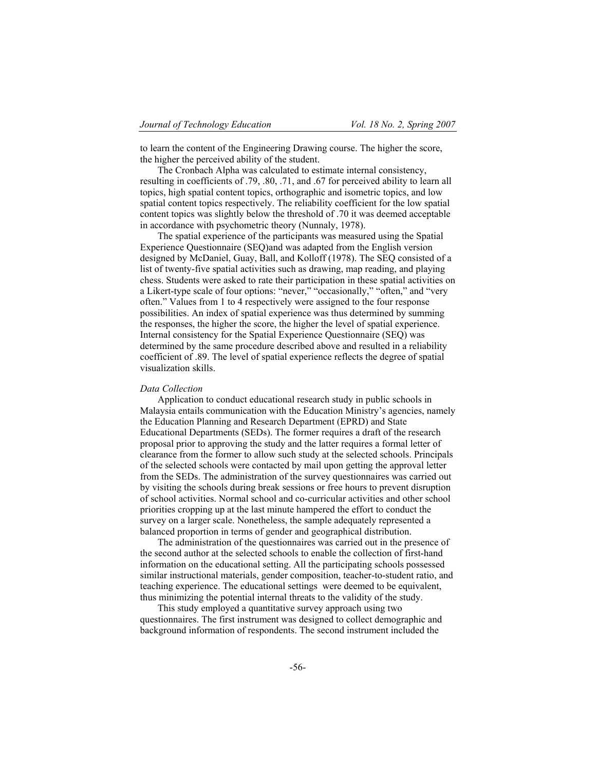to learn the content of the Engineering Drawing course. The higher the score, the higher the perceived ability of the student.

The Cronbach Alpha was calculated to estimate internal consistency, resulting in coefficients of .79, .80, .71, and .67 for perceived ability to learn all topics, high spatial content topics, orthographic and isometric topics, and low spatial content topics respectively. The reliability coefficient for the low spatial content topics was slightly below the threshold of .70 it was deemed acceptable in accordance with psychometric theory (Nunnaly, 1978).

The spatial experience of the participants was measured using the Spatial Experience Questionnaire (SEQ)and was adapted from the English version designed by McDaniel, Guay, Ball, and Kolloff (1978). The SEQ consisted of a list of twenty-five spatial activities such as drawing, map reading, and playing chess. Students were asked to rate their participation in these spatial activities on a Likert-type scale of four options: "never," "occasionally," "often," and "very often." Values from 1 to 4 respectively were assigned to the four response possibilities. An index of spatial experience was thus determined by summing the responses, the higher the score, the higher the level of spatial experience. Internal consistency for the Spatial Experience Questionnaire (SEQ) was determined by the same procedure described above and resulted in a reliability coefficient of .89. The level of spatial experience reflects the degree of spatial visualization skills.

#### *Data Collection*

Application to conduct educational research study in public schools in Malaysia entails communication with the Education Ministry's agencies, namely the Education Planning and Research Department (EPRD) and State Educational Departments (SEDs). The former requires a draft of the research proposal prior to approving the study and the latter requires a formal letter of clearance from the former to allow such study at the selected schools. Principals of the selected schools were contacted by mail upon getting the approval letter from the SEDs. The administration of the survey questionnaires was carried out by visiting the schools during break sessions or free hours to prevent disruption of school activities. Normal school and co-curricular activities and other school priorities cropping up at the last minute hampered the effort to conduct the survey on a larger scale. Nonetheless, the sample adequately represented a balanced proportion in terms of gender and geographical distribution.

The administration of the questionnaires was carried out in the presence of the second author at the selected schools to enable the collection of first-hand information on the educational setting. All the participating schools possessed similar instructional materials, gender composition, teacher-to-student ratio, and teaching experience. The educational settings were deemed to be equivalent, thus minimizing the potential internal threats to the validity of the study.

This study employed a quantitative survey approach using two questionnaires. The first instrument was designed to collect demographic and background information of respondents. The second instrument included the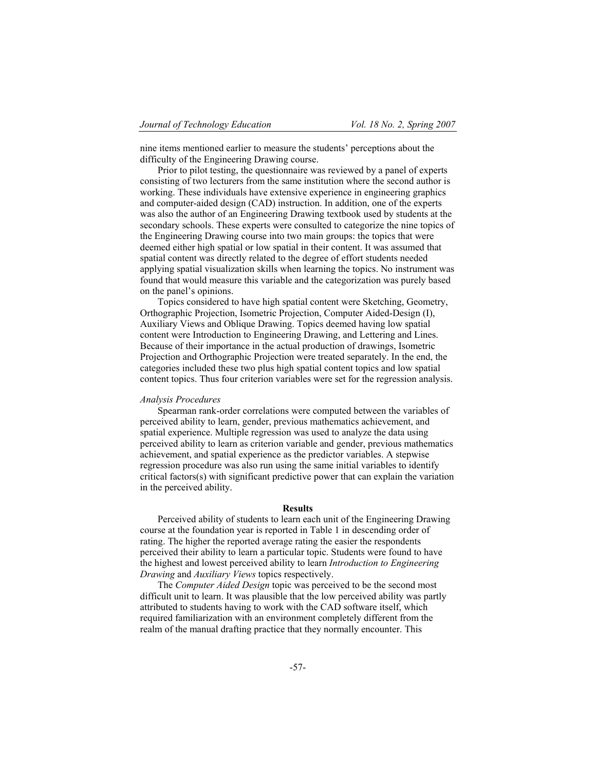nine items mentioned earlier to measure the students' perceptions about the difficulty of the Engineering Drawing course.

Prior to pilot testing, the questionnaire was reviewed by a panel of experts consisting of two lecturers from the same institution where the second author is working. These individuals have extensive experience in engineering graphics and computer-aided design (CAD) instruction. In addition, one of the experts was also the author of an Engineering Drawing textbook used by students at the secondary schools. These experts were consulted to categorize the nine topics of the Engineering Drawing course into two main groups: the topics that were deemed either high spatial or low spatial in their content. It was assumed that spatial content was directly related to the degree of effort students needed applying spatial visualization skills when learning the topics. No instrument was found that would measure this variable and the categorization was purely based on the panel's opinions.

Topics considered to have high spatial content were Sketching, Geometry, Orthographic Projection, Isometric Projection, Computer Aided-Design (I), Auxiliary Views and Oblique Drawing. Topics deemed having low spatial content were Introduction to Engineering Drawing, and Lettering and Lines. Because of their importance in the actual production of drawings, Isometric Projection and Orthographic Projection were treated separately. In the end, the categories included these two plus high spatial content topics and low spatial content topics. Thus four criterion variables were set for the regression analysis.

#### *Analysis Procedures*

Spearman rank-order correlations were computed between the variables of perceived ability to learn, gender, previous mathematics achievement, and spatial experience. Multiple regression was used to analyze the data using perceived ability to learn as criterion variable and gender, previous mathematics achievement, and spatial experience as the predictor variables. A stepwise regression procedure was also run using the same initial variables to identify critical factors(s) with significant predictive power that can explain the variation in the perceived ability.

## **Results**

Perceived ability of students to learn each unit of the Engineering Drawing course at the foundation year is reported in Table 1 in descending order of rating. The higher the reported average rating the easier the respondents perceived their ability to learn a particular topic. Students were found to have the highest and lowest perceived ability to learn *Introduction to Engineering Drawing* and *Auxiliary Views* topics respectively.

The *Computer Aided Design* topic was perceived to be the second most difficult unit to learn. It was plausible that the low perceived ability was partly attributed to students having to work with the CAD software itself, which required familiarization with an environment completely different from the realm of the manual drafting practice that they normally encounter. This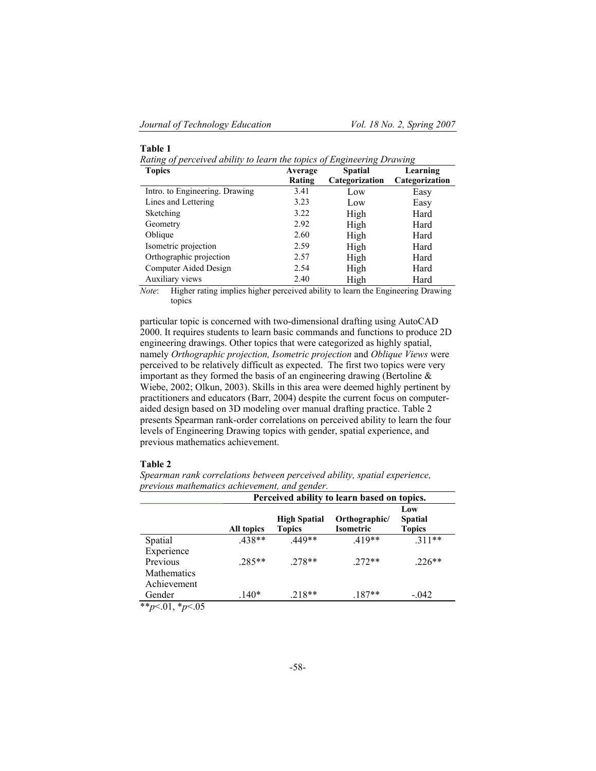## **Table 1**

*Rating of perceived ability to learn the topics of Engineering Drawing*

| <b>Topics</b>                  | Average | <b>Spatial</b> | Learning       |
|--------------------------------|---------|----------------|----------------|
|                                | Rating  | Categorization | Categorization |
| Intro. to Engineering. Drawing | 3.41    | Low            | Easy           |
| Lines and Lettering            | 3.23    | Low            | Easy           |
| Sketching                      | 3.22    | High           | Hard           |
| Geometry                       | 2.92    | High           | Hard           |
| Oblique                        | 2.60    | High           | Hard           |
| Isometric projection           | 2.59    | High           | Hard           |
| Orthographic projection        | 2.57    | High           | Hard           |
| Computer Aided Design          | 2.54    | High           | Hard           |
| Auxiliary views                | 2.40    | High           | Hard           |

*Note*: Higher rating implies higher perceived ability to learn the Engineering Drawing topics

particular topic is concerned with two-dimensional drafting using AutoCAD 2000. It requires students to learn basic commands and functions to produce 2D engineering drawings. Other topics that were categorized as highly spatial, namely *Orthographic projection, Isometric projection* and *Oblique Views* were perceived to be relatively difficult as expected. The first two topics were very important as they formed the basis of an engineering drawing (Bertoline  $\&$ Wiebe, 2002; Olkun, 2003). Skills in this area were deemed highly pertinent by practitioners and educators (Barr, 2004) despite the current focus on computeraided design based on 3D modeling over manual drafting practice. Table 2 presents Spearman rank-order correlations on perceived ability to learn the four levels of Engineering Drawing topics with gender, spatial experience, and previous mathematics achievement.

## **Table 2**

*Spearman rank correlations between perceived ability, spatial experience, previous mathematics achievement, and gender.*

| Perceived ability to learn based on topics. |            |                     |               |                |  |  |  |  |
|---------------------------------------------|------------|---------------------|---------------|----------------|--|--|--|--|
|                                             |            |                     | Low           |                |  |  |  |  |
|                                             |            | <b>High Spatial</b> | Orthographic/ | <b>Spatial</b> |  |  |  |  |
|                                             | All topics | <b>Topics</b>       | Isometric     | <b>Topics</b>  |  |  |  |  |
| Spatial                                     | .438**     | 449**               | $.419**$      | $.311**$       |  |  |  |  |
| Experience                                  |            |                     |               |                |  |  |  |  |
| Previous                                    | $.285**$   | $.278**$            | $272**$       | $226**$        |  |  |  |  |
| Mathematics                                 |            |                     |               |                |  |  |  |  |
| Achievement                                 |            |                     |               |                |  |  |  |  |
| Gender                                      | $.140*$    | 218**               | $.187**$      | $-.042$        |  |  |  |  |
| سم الله له المناسبة المسلمين                |            |                     |               |                |  |  |  |  |

\*\**p*<.01, \**p*<.05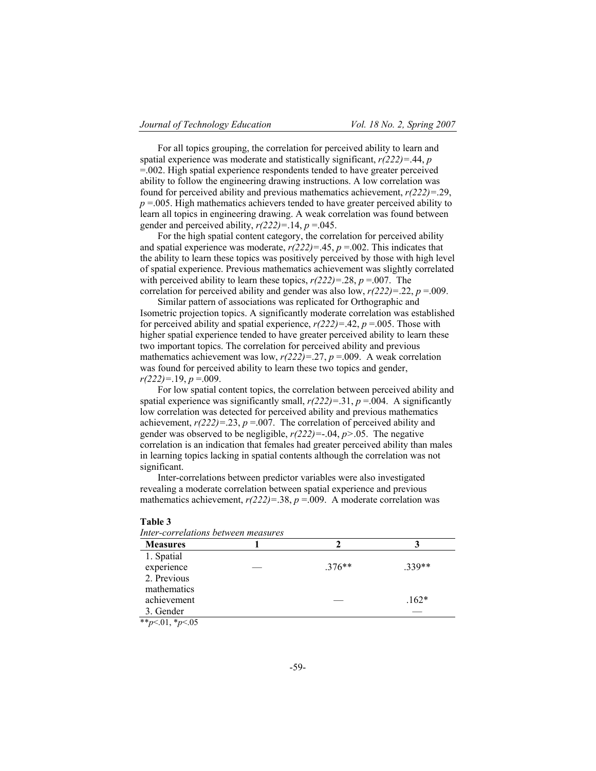For all topics grouping, the correlation for perceived ability to learn and spatial experience was moderate and statistically significant, *r(222)=*.44, *p* =.002. High spatial experience respondents tended to have greater perceived ability to follow the engineering drawing instructions. A low correlation was found for perceived ability and previous mathematics achievement, *r(222)=*.29,  $p = 0.005$ . High mathematics achievers tended to have greater perceived ability to learn all topics in engineering drawing. A weak correlation was found between gender and perceived ability,  $r(222)=14$ ,  $p=0.045$ .

For the high spatial content category, the correlation for perceived ability and spatial experience was moderate,  $r(222)=0.45$ ,  $p=0.002$ . This indicates that the ability to learn these topics was positively perceived by those with high level of spatial experience. Previous mathematics achievement was slightly correlated with perceived ability to learn these topics,  $r(222)=0.28$ ,  $p=0.007$ . The correlation for perceived ability and gender was also low,  $r(222)=0.22$ ,  $p=0.009$ .

Similar pattern of associations was replicated for Orthographic and Isometric projection topics. A significantly moderate correlation was established for perceived ability and spatial experience,  $r(222)=142$ ,  $p=0.005$ . Those with higher spatial experience tended to have greater perceived ability to learn these two important topics. The correlation for perceived ability and previous mathematics achievement was low, *r(222)=*.27, *p* =.009. A weak correlation was found for perceived ability to learn these two topics and gender,  $r(222)=19, p=009.$ 

For low spatial content topics, the correlation between perceived ability and spatial experience was significantly small,  $r(222)=31$ ,  $p=0.04$ . A significantly low correlation was detected for perceived ability and previous mathematics achievement,  $r(222)=.23$ ,  $p=.007$ . The correlation of perceived ability and gender was observed to be negligible, *r(222)=*-.04, *p>*.05. The negative correlation is an indication that females had greater perceived ability than males in learning topics lacking in spatial contents although the correlation was not significant.

Inter-correlations between predictor variables were also investigated revealing a moderate correlation between spatial experience and previous mathematics achievement,  $r(222)=.38$ ,  $p=.009$ . A moderate correlation was

| ш |  |
|---|--|
|---|--|

| Inter-correlations between measures |  |  |  |
|-------------------------------------|--|--|--|
|-------------------------------------|--|--|--|

| <b>Measures</b> |          |         |
|-----------------|----------|---------|
| 1. Spatial      |          |         |
| experience      | $.376**$ | $339**$ |
| 2. Previous     |          |         |
| mathematics     |          |         |
| achievement     |          | $.162*$ |
| 3. Gender       |          |         |

\*\**p*<.01, \**p*<.05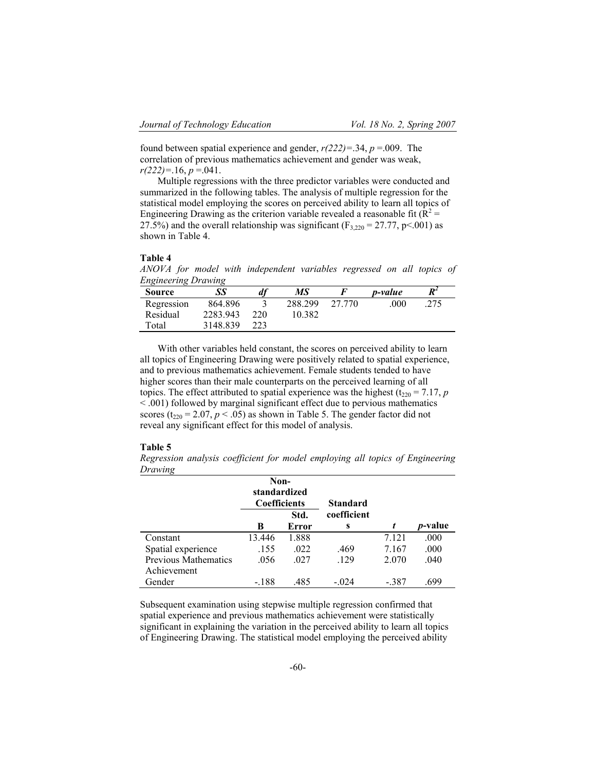found between spatial experience and gender, *r(222)=*.34, *p* =.009. The correlation of previous mathematics achievement and gender was weak,  $r(222)=16, p=.041.$ 

Multiple regressions with the three predictor variables were conducted and summarized in the following tables. The analysis of multiple regression for the statistical model employing the scores on perceived ability to learn all topics of Engineering Drawing as the criterion variable revealed a reasonable fit ( $R^2$  = 27.5%) and the overall relationship was significant ( $F_{3,220} = 27.77$ , p<.001) as shown in Table 4.

## **Table 4**

*ANOVA for model with independent variables regressed on all topics of Engineering Drawing*

| 864.896<br>Regression       |                                  |  |
|-----------------------------|----------------------------------|--|
|                             | 288.299<br>27 770<br>275<br>.000 |  |
| 2283.943<br>Residual<br>220 | 10.382                           |  |
| 3148.839<br>223             |                                  |  |
|                             |                                  |  |

With other variables held constant, the scores on perceived ability to learn all topics of Engineering Drawing were positively related to spatial experience, and to previous mathematics achievement. Female students tended to have higher scores than their male counterparts on the perceived learning of all topics. The effect attributed to spatial experience was the highest ( $t_{220} = 7.17$ , *p* < .001) followed by marginal significant effect due to pervious mathematics scores ( $t_{220}$  = 2.07,  $p$  < .05) as shown in Table 5. The gender factor did not reveal any significant effect for this model of analysis.

#### **Table 5**

*Regression analysis coefficient for model employing all topics of Engineering Drawing*

|                      | Non-<br>standardized<br><b>Coefficients</b> |       | <b>Standard</b> |         |                 |
|----------------------|---------------------------------------------|-------|-----------------|---------|-----------------|
|                      |                                             | Std.  | coefficient     |         |                 |
|                      | B                                           | Error | s               | t       | <i>p</i> -value |
| Constant             | 13.446                                      | 1.888 |                 | 7.121   | .000            |
| Spatial experience   | .155                                        | .022  | .469            | 7.167   | .000            |
| Previous Mathematics | .056                                        | .027  | .129            | 2.070   | .040            |
| Achievement          |                                             |       |                 |         |                 |
| Gender               | $-.188$                                     | .485  | $-.024$         | $-.387$ | .699            |

Subsequent examination using stepwise multiple regression confirmed that spatial experience and previous mathematics achievement were statistically significant in explaining the variation in the perceived ability to learn all topics of Engineering Drawing. The statistical model employing the perceived ability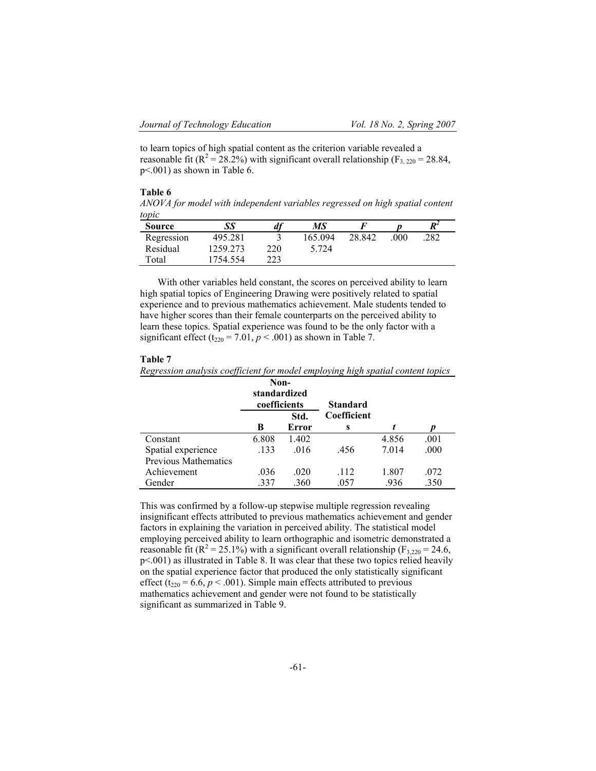to learn topics of high spatial content as the criterion variable revealed a reasonable fit ( $\mathbb{R}^2 = 28.2\%$ ) with significant overall relationship ( $F_{3, 220} = 28.84$ , p<.001) as shown in Table 6.

#### **Table 6**

*ANOVA for model with independent variables regressed on high spatial content topic*

| <b>Source</b> | SS       | df  | MS      |        |     | $R^2$ |
|---------------|----------|-----|---------|--------|-----|-------|
| Regression    | 495.281  |     | 165.094 | 28.842 | 000 | 282   |
| Residual      | 1259.273 | 220 | 5.724   |        |     |       |
| Total         | 754.554  | 223 |         |        |     |       |

With other variables held constant, the scores on perceived ability to learn high spatial topics of Engineering Drawing were positively related to spatial experience and to previous mathematics achievement. Male students tended to have higher scores than their female counterparts on the perceived ability to learn these topics. Spatial experience was found to be the only factor with a significant effect ( $t_{220}$  = 7.01,  $p < .001$ ) as shown in Table 7.

## **Table 7**

*Regression analysis coefficient for model employing high spatial content topics* 

|                             | Non-<br>standardized<br>coefficients |       | <b>Standard</b> |       |      |
|-----------------------------|--------------------------------------|-------|-----------------|-------|------|
|                             |                                      | Std.  | Coefficient     |       |      |
|                             | В                                    | Error | S               |       | D    |
| Constant                    | 6.808                                | 1.402 |                 | 4.856 | .001 |
| Spatial experience          | .133                                 | .016  | .456            | 7.014 | .000 |
| <b>Previous Mathematics</b> |                                      |       |                 |       |      |
| Achievement                 | .036                                 | .020  | .112            | 1.807 | .072 |
| Gender                      | .337                                 | .360  | .057            | .936  | .350 |

This was confirmed by a follow-up stepwise multiple regression revealing insignificant effects attributed to previous mathematics achievement and gender factors in explaining the variation in perceived ability. The statistical model employing perceived ability to learn orthographic and isometric demonstrated a reasonable fit ( $R^2 = 25.1\%$ ) with a significant overall relationship ( $F_{3,220} = 24.6$ , p<.001) as illustrated in Table 8. It was clear that these two topics relied heavily on the spatial experience factor that produced the only statistically significant effect ( $t_{220}$  = 6.6,  $p < .001$ ). Simple main effects attributed to previous mathematics achievement and gender were not found to be statistically significant as summarized in Table 9.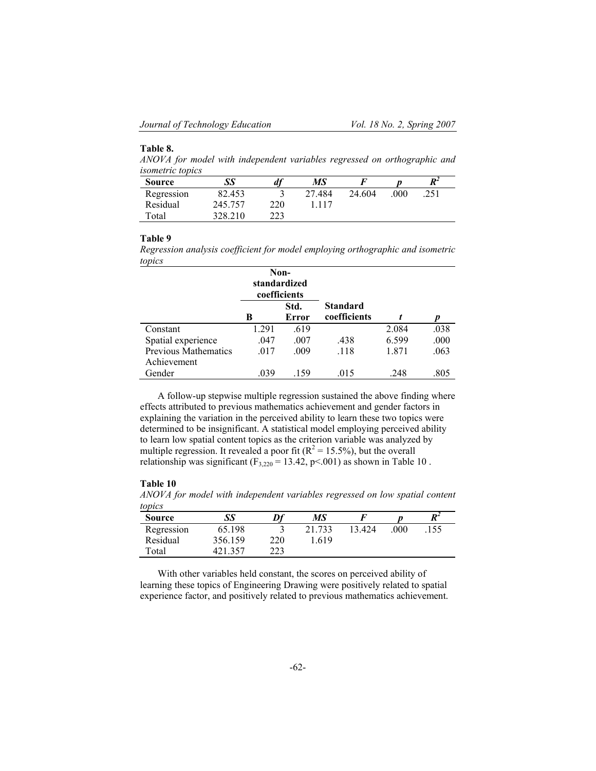## **Table 8.**

*ANOVA for model with independent variables regressed on orthographic and isometric topics* 

| <b>Source</b> | SS      | $\mathfrak{a}_l$ | МS     |        |     | $\boldsymbol{R}^2$ |
|---------------|---------|------------------|--------|--------|-----|--------------------|
| Regression    | 82.453  |                  | 27.484 | 24.604 | 000 | 251                |
| Residual      | 245.757 | 220              | -117   |        |     |                    |
| Total         | 328.210 | 223              |        |        |     |                    |

#### **Table 9**

*Regression analysis coefficient for model employing orthographic and isometric topics*

|                                            | standardized<br>coefficients | Non-          |                                 |       |      |
|--------------------------------------------|------------------------------|---------------|---------------------------------|-------|------|
|                                            | В                            | Std.<br>Error | <b>Standard</b><br>coefficients |       |      |
| Constant                                   | 1.291                        | .619          |                                 | 2.084 | .038 |
| Spatial experience                         | .047                         | .007          | .438                            | 6.599 | .000 |
| <b>Previous Mathematics</b><br>Achievement | .017                         | .009          | .118                            | 1.871 | .063 |
| Gender                                     | .039                         | 159           | .015                            | .248  | .805 |

A follow-up stepwise multiple regression sustained the above finding where effects attributed to previous mathematics achievement and gender factors in explaining the variation in the perceived ability to learn these two topics were determined to be insignificant. A statistical model employing perceived ability to learn low spatial content topics as the criterion variable was analyzed by multiple regression. It revealed a poor fit ( $R^2 = 15.5\%$ ), but the overall relationship was significant  $(F_{3,220} = 13.42, p<0.001)$  as shown in Table 10.

## **Table 10**

*ANOVA for model with independent variables regressed on low spatial content topics*

| .<br><b>Source</b> | SS      | Df  | МS     |        |     | $R^2$ |  |
|--------------------|---------|-----|--------|--------|-----|-------|--|
| Regression         | 65.198  |     | 21.733 | 13.424 | 000 | 155   |  |
| Residual           | 356.159 | 220 | .619   |        |     |       |  |
| Total              | 421.357 | 223 |        |        |     |       |  |

With other variables held constant, the scores on perceived ability of learning these topics of Engineering Drawing were positively related to spatial experience factor, and positively related to previous mathematics achievement.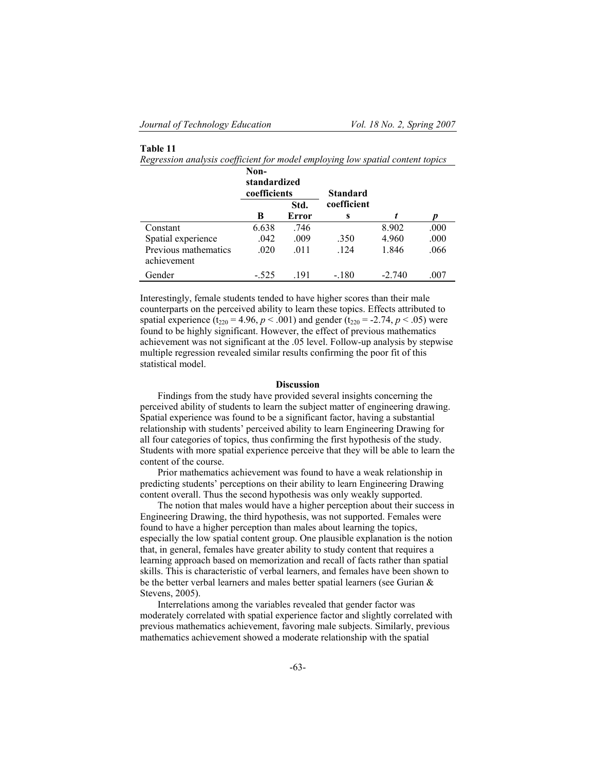## **Table 11**

*Regression analysis coefficient for model employing low spatial content topics* 

|                                     | Non-<br>standardized<br>coefficients |               | Standard         |          |      |
|-------------------------------------|--------------------------------------|---------------|------------------|----------|------|
|                                     | В                                    | Std.<br>Error | coefficient<br>S |          |      |
| Constant                            | 6.638                                | .746          |                  | 8.902    | .000 |
| Spatial experience                  | .042                                 | .009          | .350             | 4.960    | .000 |
| Previous mathematics<br>achievement | .020                                 | .011          | .124             | 1.846    | .066 |
| Gender                              | $-.525$                              | -191          | $-.180$          | $-2.740$ | .007 |

Interestingly, female students tended to have higher scores than their male counterparts on the perceived ability to learn these topics. Effects attributed to spatial experience ( $t_{220} = 4.96$ ,  $p < .001$ ) and gender ( $t_{220} = .2.74$ ,  $p < .05$ ) were found to be highly significant. However, the effect of previous mathematics achievement was not significant at the .05 level. Follow-up analysis by stepwise multiple regression revealed similar results confirming the poor fit of this statistical model.

#### **Discussion**

Findings from the study have provided several insights concerning the perceived ability of students to learn the subject matter of engineering drawing. Spatial experience was found to be a significant factor, having a substantial relationship with students' perceived ability to learn Engineering Drawing for all four categories of topics, thus confirming the first hypothesis of the study. Students with more spatial experience perceive that they will be able to learn the content of the course.

Prior mathematics achievement was found to have a weak relationship in predicting students' perceptions on their ability to learn Engineering Drawing content overall. Thus the second hypothesis was only weakly supported.

The notion that males would have a higher perception about their success in Engineering Drawing, the third hypothesis, was not supported. Females were found to have a higher perception than males about learning the topics, especially the low spatial content group. One plausible explanation is the notion that, in general, females have greater ability to study content that requires a learning approach based on memorization and recall of facts rather than spatial skills. This is characteristic of verbal learners, and females have been shown to be the better verbal learners and males better spatial learners (see Gurian & Stevens, 2005).

Interrelations among the variables revealed that gender factor was moderately correlated with spatial experience factor and slightly correlated with previous mathematics achievement, favoring male subjects. Similarly, previous mathematics achievement showed a moderate relationship with the spatial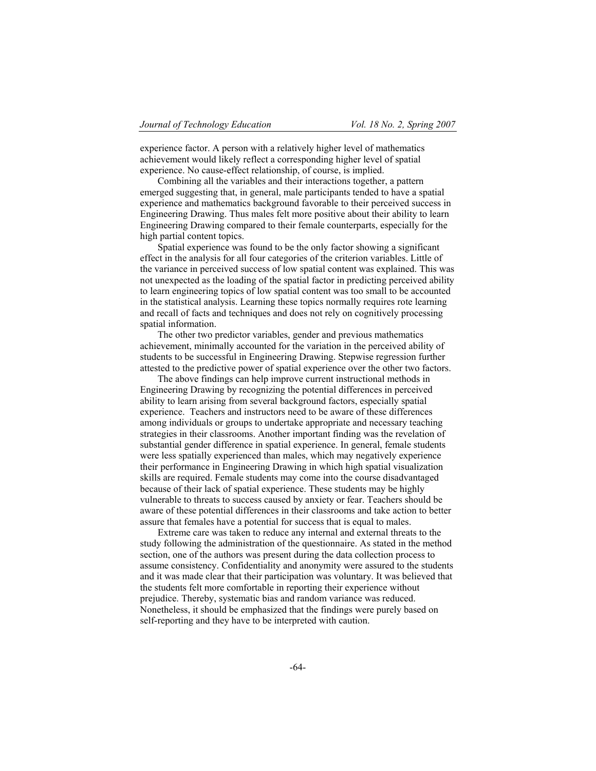experience factor. A person with a relatively higher level of mathematics achievement would likely reflect a corresponding higher level of spatial experience. No cause-effect relationship, of course, is implied.

Combining all the variables and their interactions together, a pattern emerged suggesting that, in general, male participants tended to have a spatial experience and mathematics background favorable to their perceived success in Engineering Drawing. Thus males felt more positive about their ability to learn Engineering Drawing compared to their female counterparts, especially for the high partial content topics.

Spatial experience was found to be the only factor showing a significant effect in the analysis for all four categories of the criterion variables. Little of the variance in perceived success of low spatial content was explained. This was not unexpected as the loading of the spatial factor in predicting perceived ability to learn engineering topics of low spatial content was too small to be accounted in the statistical analysis. Learning these topics normally requires rote learning and recall of facts and techniques and does not rely on cognitively processing spatial information.

The other two predictor variables, gender and previous mathematics achievement, minimally accounted for the variation in the perceived ability of students to be successful in Engineering Drawing. Stepwise regression further attested to the predictive power of spatial experience over the other two factors.

The above findings can help improve current instructional methods in Engineering Drawing by recognizing the potential differences in perceived ability to learn arising from several background factors, especially spatial experience. Teachers and instructors need to be aware of these differences among individuals or groups to undertake appropriate and necessary teaching strategies in their classrooms. Another important finding was the revelation of substantial gender difference in spatial experience. In general, female students were less spatially experienced than males, which may negatively experience their performance in Engineering Drawing in which high spatial visualization skills are required. Female students may come into the course disadvantaged because of their lack of spatial experience. These students may be highly vulnerable to threats to success caused by anxiety or fear. Teachers should be aware of these potential differences in their classrooms and take action to better assure that females have a potential for success that is equal to males.

Extreme care was taken to reduce any internal and external threats to the study following the administration of the questionnaire. As stated in the method section, one of the authors was present during the data collection process to assume consistency. Confidentiality and anonymity were assured to the students and it was made clear that their participation was voluntary. It was believed that the students felt more comfortable in reporting their experience without prejudice. Thereby, systematic bias and random variance was reduced. Nonetheless, it should be emphasized that the findings were purely based on self-reporting and they have to be interpreted with caution.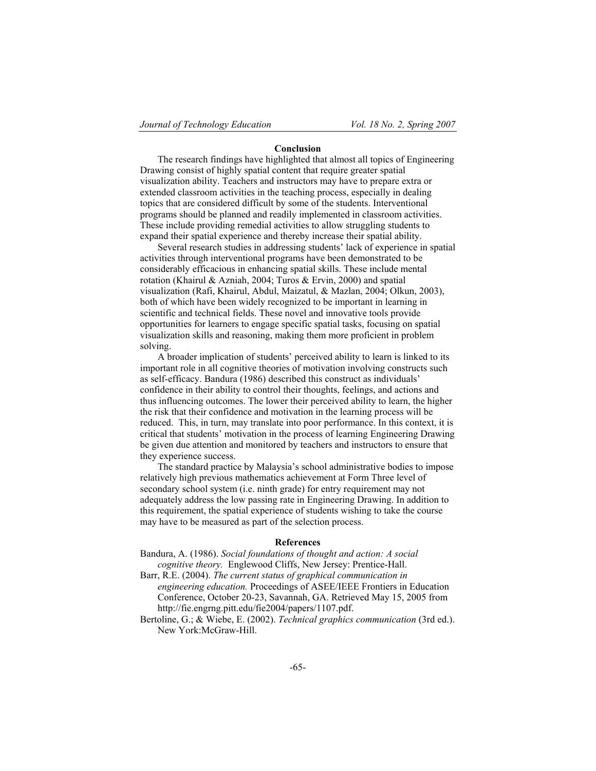### **Conclusion**

The research findings have highlighted that almost all topics of Engineering Drawing consist of highly spatial content that require greater spatial visualization ability. Teachers and instructors may have to prepare extra or extended classroom activities in the teaching process, especially in dealing topics that are considered difficult by some of the students. Interventional programs should be planned and readily implemented in classroom activities. These include providing remedial activities to allow struggling students to expand their spatial experience and thereby increase their spatial ability.

Several research studies in addressing students' lack of experience in spatial activities through interventional programs have been demonstrated to be considerably efficacious in enhancing spatial skills. These include mental rotation (Khairul & Azniah, 2004; Turos & Ervin, 2000) and spatial visualization (Rafi, Khairul, Abdul, Maizatul, & Mazlan, 2004; Olkun, 2003), both of which have been widely recognized to be important in learning in scientific and technical fields. These novel and innovative tools provide opportunities for learners to engage specific spatial tasks, focusing on spatial visualization skills and reasoning, making them more proficient in problem solving.

A broader implication of students' perceived ability to learn is linked to its important role in all cognitive theories of motivation involving constructs such as self-efficacy. Bandura (1986) described this construct as individuals' confidence in their ability to control their thoughts, feelings, and actions and thus influencing outcomes. The lower their perceived ability to learn, the higher the risk that their confidence and motivation in the learning process will be reduced. This, in turn, may translate into poor performance. In this context, it is critical that students' motivation in the process of learning Engineering Drawing be given due attention and monitored by teachers and instructors to ensure that they experience success.

The standard practice by Malaysia's school administrative bodies to impose relatively high previous mathematics achievement at Form Three level of secondary school system (i.e. ninth grade) for entry requirement may not adequately address the low passing rate in Engineering Drawing. In addition to this requirement, the spatial experience of students wishing to take the course may have to be measured as part of the selection process.

#### **References**

Bandura, A. (1986). *Social foundations of thought and action: A social cognitive theory.* Englewood Cliffs, New Jersey: Prentice-Hall.

Barr, R.E. (2004). *The current status of graphical communication in*

- *engineering education.* Proceedings of ASEE/IEEE Frontiers in Education Conference, October 20-23, Savannah, GA. Retrieved May 15, 2005 from http://fie.engrng.pitt.edu/fie2004/papers/1107.pdf.
- Bertoline, G.; & Wiebe, E. (2002). *Technical graphics communication* (3rd ed.). New York:McGraw-Hill.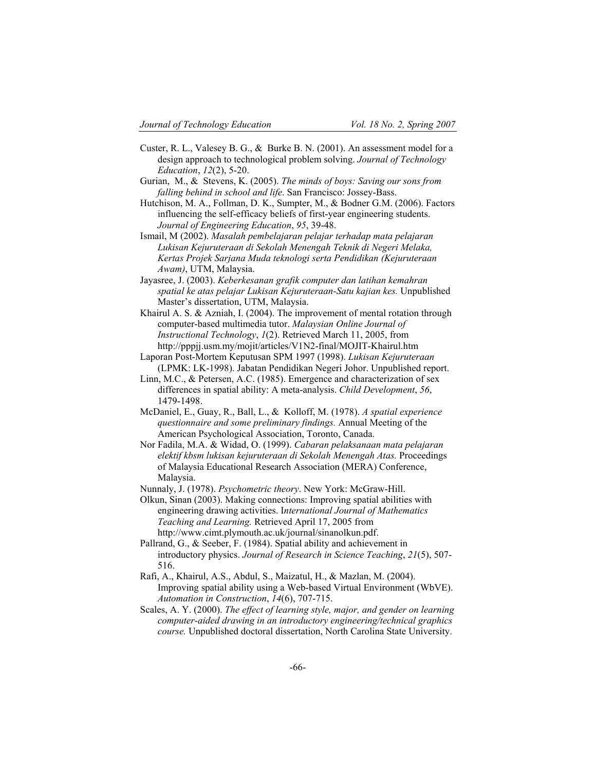- Custer, R. L., Valesey B. G., & Burke B. N. (2001). An assessment model for a design approach to technological problem solving. *Journal of Technology Education*, *12*(2), 5-20.
- Gurian, M., & Stevens, K. (2005). *The minds of boys: Saving our sons from falling behind in school and life*. San Francisco: Jossey-Bass.
- Hutchison, M. A., Follman, D. K., Sumpter, M., & Bodner G.M. (2006). Factors influencing the self-efficacy beliefs of first-year engineering students. *Journal of Engineering Education*, *95*, 39-48.
- Ismail, M (2002). *Masalah pembelajaran pelajar terhadap mata pelajaran Lukisan Kejuruteraan di Sekolah Menengah Teknik di Negeri Melaka, Kertas Projek Sarjana Muda teknologi serta Pendidikan (Kejuruteraan Awam)*, UTM, Malaysia.
- Jayasree, J. (2003). *Keberkesanan grafik computer dan latihan kemahran spatial ke atas pelajar Lukisan Kejuruteraan-Satu kajian kes.* Unpublished Master's dissertation, UTM, Malaysia.
- Khairul A. S. & Azniah, I. (2004). The improvement of mental rotation through computer-based multimedia tutor. *Malaysian Online Journal of Instructional Technology*, *1*(2). Retrieved March 11, 2005, from http://pppjj.usm.my/mojit/articles/V1N2-final/MOJIT-Khairul.htm
- Laporan Post-Mortem Keputusan SPM 1997 (1998). *Lukisan Kejuruteraan* (LPMK: LK-1998). Jabatan Pendidikan Negeri Johor. Unpublished report.
- Linn, M.C., & Petersen, A.C. (1985). Emergence and characterization of sex differences in spatial ability: A meta-analysis. *Child Development*, *56*, 1479-1498.
- McDaniel, E., Guay, R., Ball, L., & Kolloff, M. (1978). *A spatial experience questionnaire and some preliminary findings.* Annual Meeting of the American Psychological Association, Toronto, Canada.
- Nor Fadila, M.A. & Widad, O. (1999). *Cabaran pelaksanaan mata pelajaran elektif kbsm lukisan kejuruteraan di Sekolah Menengah Atas.* Proceedings of Malaysia Educational Research Association (MERA) Conference, Malaysia.
- Nunnaly, J. (1978). *Psychometric theory*. New York: McGraw-Hill.

Olkun, Sinan (2003). Making connections: Improving spatial abilities with engineering drawing activities. I*nternational Journal of Mathematics Teaching and Learning.* Retrieved April 17, 2005 from http://www.cimt.plymouth.ac.uk/journal/sinanolkun.pdf.

- Pallrand, G., & Seeber, F. (1984). Spatial ability and achievement in introductory physics. *Journal of Research in Science Teaching*, *21*(5), 507- 516.
- Rafi, A., Khairul, A.S., Abdul, S., Maizatul, H., & Mazlan, M. (2004). Improving spatial ability using a Web-based Virtual Environment (WbVE). *Automation in Construction*, *14*(6), 707-715.
- Scales, A. Y. (2000). *The effect of learning style, major, and gender on learning computer-aided drawing in an introductory engineering/technical graphics course.* Unpublished doctoral dissertation, North Carolina State University.